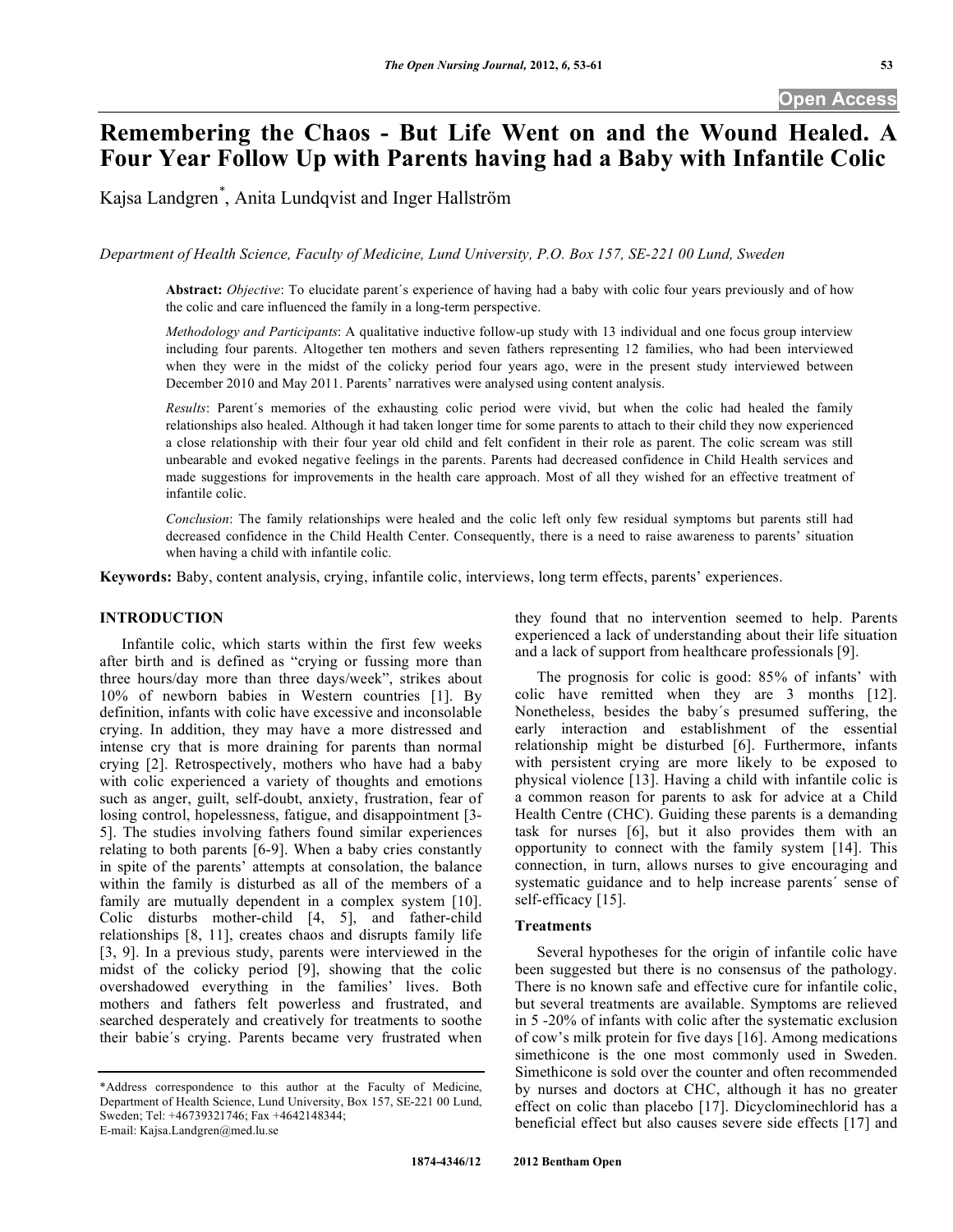# **Remembering the Chaos - But Life Went on and the Wound Healed. A Four Year Follow Up with Parents having had a Baby with Infantile Colic**

Kajsa Landgren*\** , Anita Lundqvist and Inger Hallström

*Department of Health Science, Faculty of Medicine, Lund University, P.O. Box 157, SE-221 00 Lund, Sweden* 

**Abstract:** *Objective*: To elucidate parent´s experience of having had a baby with colic four years previously and of how the colic and care influenced the family in a long-term perspective.

*Methodology and Participants*: A qualitative inductive follow-up study with 13 individual and one focus group interview including four parents. Altogether ten mothers and seven fathers representing 12 families, who had been interviewed when they were in the midst of the colicky period four years ago, were in the present study interviewed between December 2010 and May 2011. Parents' narratives were analysed using content analysis.

*Results*: Parent´s memories of the exhausting colic period were vivid, but when the colic had healed the family relationships also healed. Although it had taken longer time for some parents to attach to their child they now experienced a close relationship with their four year old child and felt confident in their role as parent. The colic scream was still unbearable and evoked negative feelings in the parents. Parents had decreased confidence in Child Health services and made suggestions for improvements in the health care approach. Most of all they wished for an effective treatment of infantile colic.

*Conclusion*: The family relationships were healed and the colic left only few residual symptoms but parents still had decreased confidence in the Child Health Center. Consequently, there is a need to raise awareness to parents' situation when having a child with infantile colic.

**Keywords:** Baby, content analysis, crying, infantile colic, interviews, long term effects, parents' experiences.

## **INTRODUCTION**

 Infantile colic, which starts within the first few weeks after birth and is defined as "crying or fussing more than three hours/day more than three days/week", strikes about 10% of newborn babies in Western countries [1]. By definition, infants with colic have excessive and inconsolable crying. In addition, they may have a more distressed and intense cry that is more draining for parents than normal crying [2]. Retrospectively, mothers who have had a baby with colic experienced a variety of thoughts and emotions such as anger, guilt, self-doubt, anxiety, frustration, fear of losing control, hopelessness, fatigue, and disappointment [3-5]. The studies involving fathers found similar experiences relating to both parents [6-9]. When a baby cries constantly in spite of the parents' attempts at consolation, the balance within the family is disturbed as all of the members of a family are mutually dependent in a complex system [10]. Colic disturbs mother-child [4, 5], and father-child relationships [8, 11], creates chaos and disrupts family life [3, 9]. In a previous study, parents were interviewed in the midst of the colicky period [9], showing that the colic overshadowed everything in the families' lives. Both mothers and fathers felt powerless and frustrated, and searched desperately and creatively for treatments to soothe their babie´s crying. Parents became very frustrated when

they found that no intervention seemed to help. Parents experienced a lack of understanding about their life situation and a lack of support from healthcare professionals [9].

 The prognosis for colic is good: 85% of infants' with colic have remitted when they are 3 months [12]. Nonetheless, besides the baby´s presumed suffering, the early interaction and establishment of the essential relationship might be disturbed [6]. Furthermore, infants with persistent crying are more likely to be exposed to physical violence [13]. Having a child with infantile colic is a common reason for parents to ask for advice at a Child Health Centre (CHC). Guiding these parents is a demanding task for nurses [6], but it also provides them with an opportunity to connect with the family system [14]. This connection, in turn, allows nurses to give encouraging and systematic guidance and to help increase parents´ sense of self-efficacy [15].

#### **Treatments**

 Several hypotheses for the origin of infantile colic have been suggested but there is no consensus of the pathology. There is no known safe and effective cure for infantile colic, but several treatments are available. Symptoms are relieved in 5 -20% of infants with colic after the systematic exclusion of cow's milk protein for five days [16]. Among medications simethicone is the one most commonly used in Sweden. Simethicone is sold over the counter and often recommended by nurses and doctors at CHC, although it has no greater effect on colic than placebo [17]. Dicyclominechlorid has a beneficial effect but also causes severe side effects [17] and

<sup>\*</sup>Address correspondence to this author at the Faculty of Medicine, Department of Health Science, Lund University, Box 157, SE-221 00 Lund, Sweden; Tel: +46739321746; Fax +4642148344; E-mail: Kajsa.Landgren@med.lu.se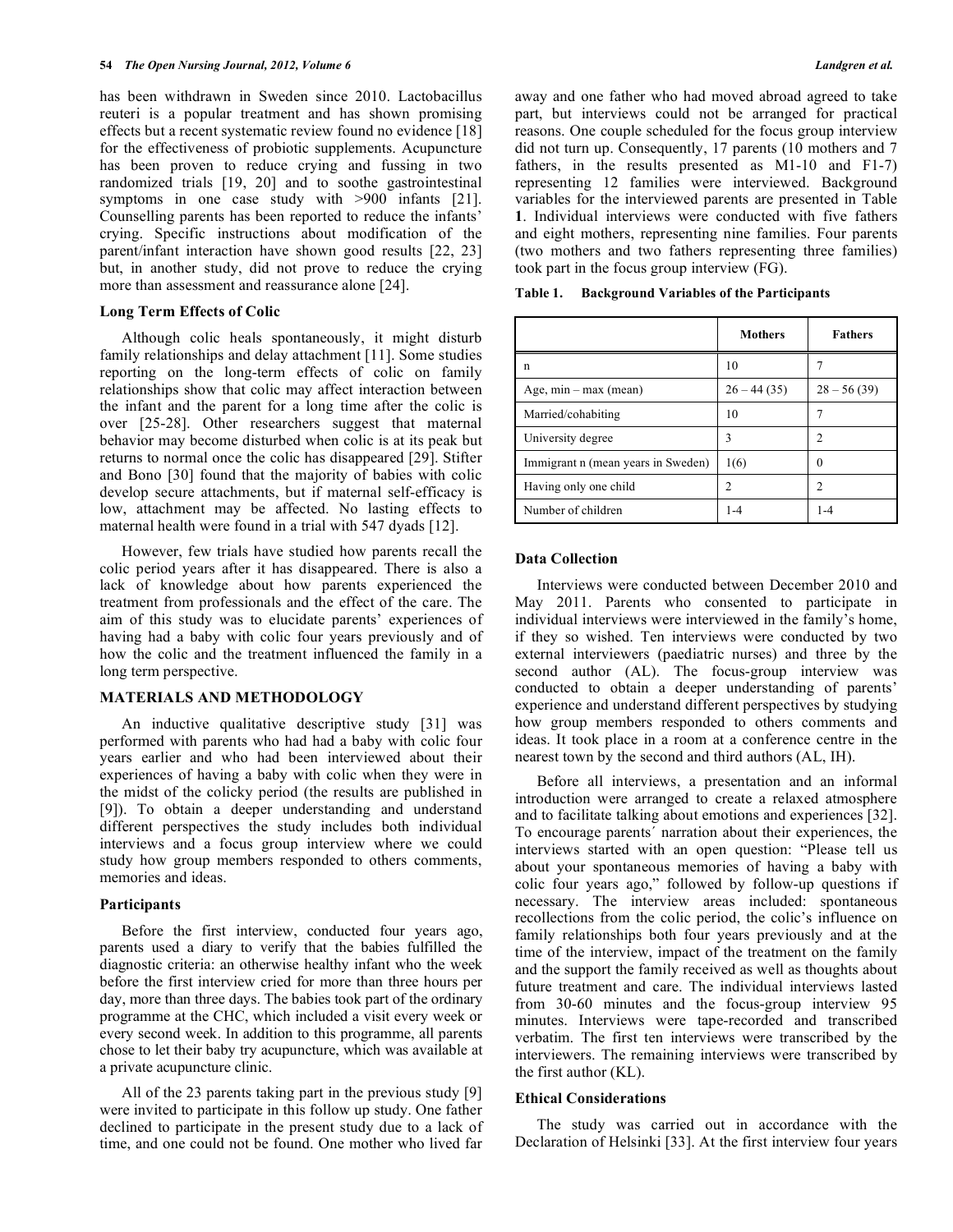has been withdrawn in Sweden since 2010. Lactobacillus reuteri is a popular treatment and has shown promising effects but a recent systematic review found no evidence [18] for the effectiveness of probiotic supplements. Acupuncture has been proven to reduce crying and fussing in two randomized trials [19, 20] and to soothe gastrointestinal symptoms in one case study with >900 infants [21]. Counselling parents has been reported to reduce the infants' crying. Specific instructions about modification of the parent/infant interaction have shown good results [22, 23] but, in another study, did not prove to reduce the crying more than assessment and reassurance alone [24].

#### **Long Term Effects of Colic**

 Although colic heals spontaneously, it might disturb family relationships and delay attachment [11]. Some studies reporting on the long-term effects of colic on family relationships show that colic may affect interaction between the infant and the parent for a long time after the colic is over [25-28]. Other researchers suggest that maternal behavior may become disturbed when colic is at its peak but returns to normal once the colic has disappeared [29]. Stifter and Bono [30] found that the majority of babies with colic develop secure attachments, but if maternal self-efficacy is low, attachment may be affected. No lasting effects to maternal health were found in a trial with 547 dyads [12].

 However, few trials have studied how parents recall the colic period years after it has disappeared. There is also a lack of knowledge about how parents experienced the treatment from professionals and the effect of the care. The aim of this study was to elucidate parents' experiences of having had a baby with colic four years previously and of how the colic and the treatment influenced the family in a long term perspective.

## **MATERIALS AND METHODOLOGY**

 An inductive qualitative descriptive study [31] was performed with parents who had had a baby with colic four years earlier and who had been interviewed about their experiences of having a baby with colic when they were in the midst of the colicky period (the results are published in [9]). To obtain a deeper understanding and understand different perspectives the study includes both individual interviews and a focus group interview where we could study how group members responded to others comments, memories and ideas.

### **Participants**

 Before the first interview, conducted four years ago, parents used a diary to verify that the babies fulfilled the diagnostic criteria: an otherwise healthy infant who the week before the first interview cried for more than three hours per day, more than three days. The babies took part of the ordinary programme at the CHC, which included a visit every week or every second week. In addition to this programme, all parents chose to let their baby try acupuncture, which was available at a private acupuncture clinic.

 All of the 23 parents taking part in the previous study [9] were invited to participate in this follow up study. One father declined to participate in the present study due to a lack of time, and one could not be found. One mother who lived far

away and one father who had moved abroad agreed to take part, but interviews could not be arranged for practical reasons. One couple scheduled for the focus group interview did not turn up. Consequently, 17 parents (10 mothers and 7 fathers, in the results presented as M1-10 and F1-7) representing 12 families were interviewed. Background variables for the interviewed parents are presented in Table **1**. Individual interviews were conducted with five fathers and eight mothers, representing nine families. Four parents (two mothers and two fathers representing three families) took part in the focus group interview (FG).

| <b>Background Variables of the Participants</b><br>Table 1. |  |
|-------------------------------------------------------------|--|
|-------------------------------------------------------------|--|

|                                    | <b>Mothers</b> | <b>Fathers</b> |
|------------------------------------|----------------|----------------|
| n                                  | 10             |                |
| Age, $min - max$ (mean)            | $26 - 44(35)$  | $28 - 56(39)$  |
| Married/cohabiting                 | 10             |                |
| University degree                  | 3              | $\mathfrak{D}$ |
| Immigrant n (mean years in Sweden) | 1(6)           |                |
| Having only one child              | $\mathfrak{D}$ | 2              |
| Number of children                 | $1 - 4$        | $1 - 4$        |

#### **Data Collection**

 Interviews were conducted between December 2010 and May 2011. Parents who consented to participate in individual interviews were interviewed in the family's home, if they so wished. Ten interviews were conducted by two external interviewers (paediatric nurses) and three by the second author (AL). The focus-group interview was conducted to obtain a deeper understanding of parents' experience and understand different perspectives by studying how group members responded to others comments and ideas. It took place in a room at a conference centre in the nearest town by the second and third authors (AL, IH).

 Before all interviews, a presentation and an informal introduction were arranged to create a relaxed atmosphere and to facilitate talking about emotions and experiences [32]. To encourage parents´ narration about their experiences, the interviews started with an open question: "Please tell us about your spontaneous memories of having a baby with colic four years ago," followed by follow-up questions if necessary. The interview areas included: spontaneous recollections from the colic period, the colic's influence on family relationships both four years previously and at the time of the interview, impact of the treatment on the family and the support the family received as well as thoughts about future treatment and care. The individual interviews lasted from 30-60 minutes and the focus-group interview 95 minutes. Interviews were tape-recorded and transcribed verbatim. The first ten interviews were transcribed by the interviewers. The remaining interviews were transcribed by the first author (KL).

#### **Ethical Considerations**

 The study was carried out in accordance with the Declaration of Helsinki [33]. At the first interview four years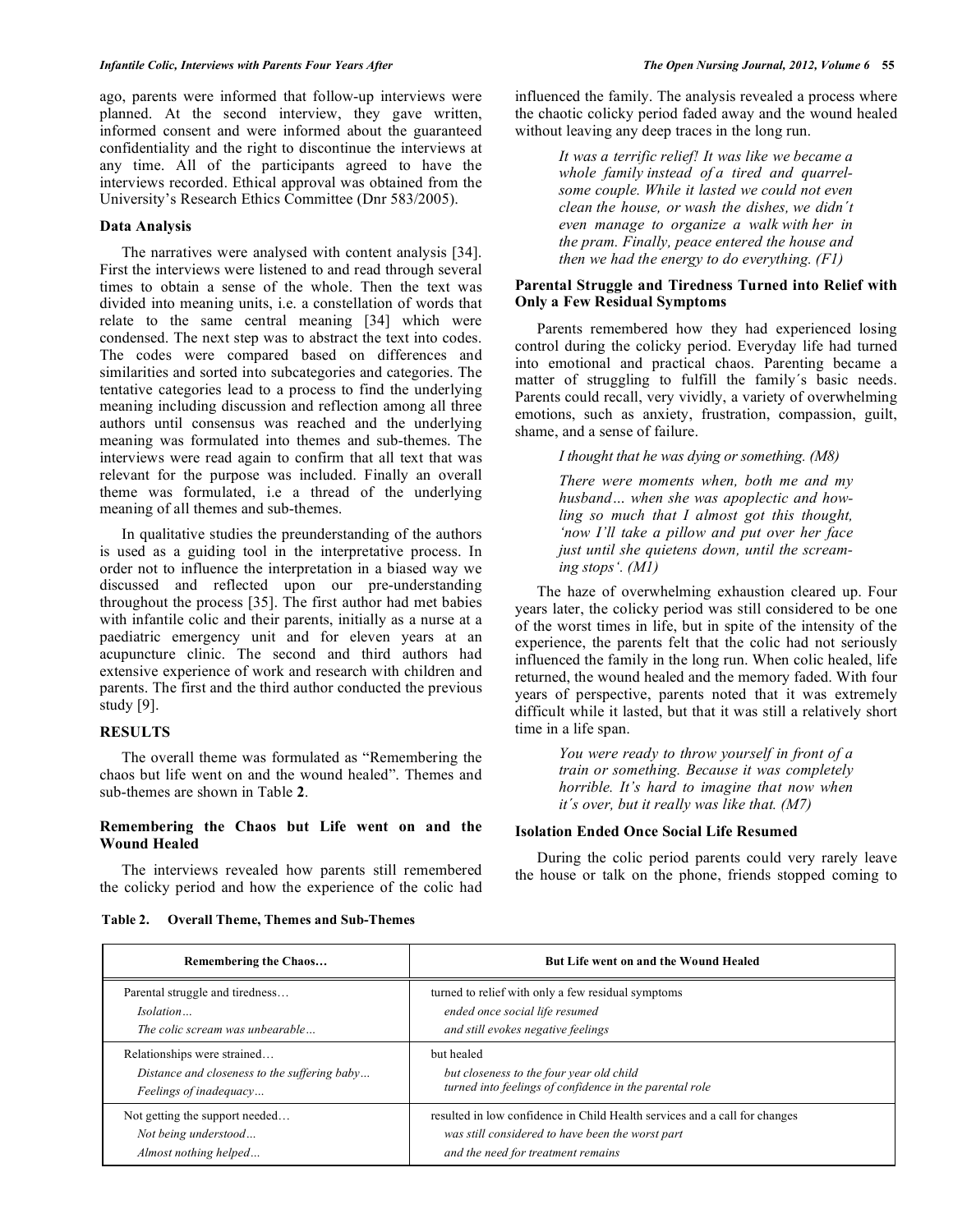ago, parents were informed that follow-up interviews were planned. At the second interview, they gave written, informed consent and were informed about the guaranteed confidentiality and the right to discontinue the interviews at any time. All of the participants agreed to have the interviews recorded. Ethical approval was obtained from the University's Research Ethics Committee (Dnr 583/2005).

#### **Data Analysis**

 The narratives were analysed with content analysis [34]. First the interviews were listened to and read through several times to obtain a sense of the whole. Then the text was divided into meaning units, i.e. a constellation of words that relate to the same central meaning [34] which were condensed. The next step was to abstract the text into codes. The codes were compared based on differences and similarities and sorted into subcategories and categories. The tentative categories lead to a process to find the underlying meaning including discussion and reflection among all three authors until consensus was reached and the underlying meaning was formulated into themes and sub-themes. The interviews were read again to confirm that all text that was relevant for the purpose was included. Finally an overall theme was formulated, i.e a thread of the underlying meaning of all themes and sub-themes.

 In qualitative studies the preunderstanding of the authors is used as a guiding tool in the interpretative process. In order not to influence the interpretation in a biased way we discussed and reflected upon our pre-understanding throughout the process [35]. The first author had met babies with infantile colic and their parents, initially as a nurse at a paediatric emergency unit and for eleven years at an acupuncture clinic. The second and third authors had extensive experience of work and research with children and parents. The first and the third author conducted the previous study [9].

## **RESULTS**

 The overall theme was formulated as "Remembering the chaos but life went on and the wound healed". Themes and sub-themes are shown in Table **2**.

## **Remembering the Chaos but Life went on and the Wound Healed**

 The interviews revealed how parents still remembered the colicky period and how the experience of the colic had

| Table 2. | <b>Overall Theme, Themes and Sub-Themes</b> |
|----------|---------------------------------------------|
|----------|---------------------------------------------|

influenced the family. The analysis revealed a process where the chaotic colicky period faded away and the wound healed without leaving any deep traces in the long run.

> *It was a terrific relief! It was like we became a whole family instead of a tired and quarrelsome couple. While it lasted we could not even clean the house, or wash the dishes, we didn´t even manage to organize a walk with her in the pram. Finally, peace entered the house and then we had the energy to do everything. (F1)*

## **Parental Struggle and Tiredness Turned into Relief with Only a Few Residual Symptoms**

 Parents remembered how they had experienced losing control during the colicky period. Everyday life had turned into emotional and practical chaos. Parenting became a matter of struggling to fulfill the family´s basic needs. Parents could recall, very vividly, a variety of overwhelming emotions, such as anxiety, frustration, compassion, guilt, shame, and a sense of failure.

*I thought that he was dying or something. (M8)* 

*There were moments when, both me and my husband… when she was apoplectic and howling so much that I almost got this thought, 'now I'll take a pillow and put over her face just until she quietens down, until the screaming stops'. (M1)* 

 The haze of overwhelming exhaustion cleared up. Four years later, the colicky period was still considered to be one of the worst times in life, but in spite of the intensity of the experience, the parents felt that the colic had not seriously influenced the family in the long run. When colic healed, life returned, the wound healed and the memory faded. With four years of perspective, parents noted that it was extremely difficult while it lasted, but that it was still a relatively short time in a life span.

> *You were ready to throw yourself in front of a train or something. Because it was completely horrible. It's hard to imagine that now when it´s over, but it really was like that. (M7)*

## **Isolation Ended Once Social Life Resumed**

 During the colic period parents could very rarely leave the house or talk on the phone, friends stopped coming to

| Remembering the Chaos                        | But Life went on and the Wound Healed                                      |
|----------------------------------------------|----------------------------------------------------------------------------|
| Parental struggle and tiredness              | turned to relief with only a few residual symptoms                         |
| <i>Isolation</i>                             | ended once social life resumed                                             |
| The colic scream was unbearable              | and still evokes negative feelings                                         |
| Relationships were strained                  | but healed                                                                 |
| Distance and closeness to the suffering baby | but closeness to the four year old child                                   |
| Feelings of inadequacy                       | turned into feelings of confidence in the parental role                    |
| Not getting the support needed               | resulted in low confidence in Child Health services and a call for changes |
| Not being understood                         | was still considered to have been the worst part                           |
| Almost nothing helped                        | and the need for treatment remains                                         |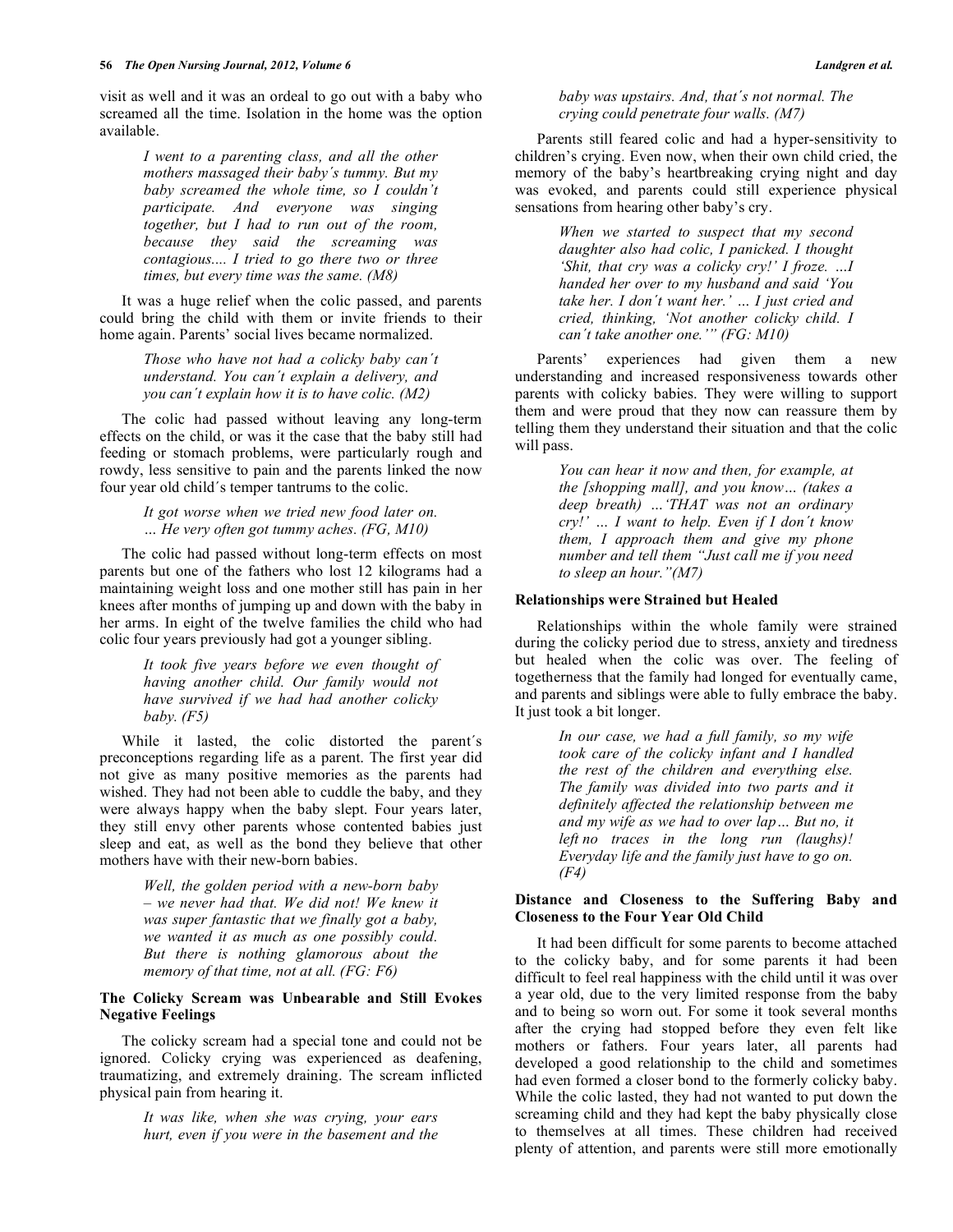visit as well and it was an ordeal to go out with a baby who screamed all the time. Isolation in the home was the option available.

> *I went to a parenting class, and all the other mothers massaged their baby´s tummy. But my baby screamed the whole time, so I couldn't participate. And everyone was singing together, but I had to run out of the room, because they said the screaming was contagious.... I tried to go there two or three times, but every time was the same. (M8)*

 It was a huge relief when the colic passed, and parents could bring the child with them or invite friends to their home again. Parents' social lives became normalized.

> *Those who have not had a colicky baby can´t understand. You can´t explain a delivery, and you can´t explain how it is to have colic. (M2)*

 The colic had passed without leaving any long-term effects on the child, or was it the case that the baby still had feeding or stomach problems, were particularly rough and rowdy, less sensitive to pain and the parents linked the now four year old child´s temper tantrums to the colic.

> *It got worse when we tried new food later on. … He very often got tummy aches. (FG, M10)*

 The colic had passed without long-term effects on most parents but one of the fathers who lost 12 kilograms had a maintaining weight loss and one mother still has pain in her knees after months of jumping up and down with the baby in her arms. In eight of the twelve families the child who had colic four years previously had got a younger sibling.

> *It took five years before we even thought of having another child. Our family would not have survived if we had had another colicky baby. (F5)*

 While it lasted, the colic distorted the parent´s preconceptions regarding life as a parent. The first year did not give as many positive memories as the parents had wished. They had not been able to cuddle the baby, and they were always happy when the baby slept. Four years later, they still envy other parents whose contented babies just sleep and eat, as well as the bond they believe that other mothers have with their new-born babies.

> *Well, the golden period with a new-born baby – we never had that. We did not! We knew it was super fantastic that we finally got a baby, we wanted it as much as one possibly could. But there is nothing glamorous about the memory of that time, not at all. (FG: F6)*

## **The Colicky Scream was Unbearable and Still Evokes Negative Feelings**

 The colicky scream had a special tone and could not be ignored. Colicky crying was experienced as deafening, traumatizing, and extremely draining. The scream inflicted physical pain from hearing it.

> *It was like, when she was crying, your ears hurt, even if you were in the basement and the*

## *baby was upstairs. And, that´s not normal. The crying could penetrate four walls. (M7)*

 Parents still feared colic and had a hyper-sensitivity to children's crying. Even now, when their own child cried, the memory of the baby's heartbreaking crying night and day was evoked, and parents could still experience physical sensations from hearing other baby's cry.

> *When we started to suspect that my second daughter also had colic, I panicked. I thought 'Shit, that cry was a colicky cry!' I froze. …I handed her over to my husband and said 'You take her. I don´t want her.' … I just cried and cried, thinking, 'Not another colicky child. I can´t take another one.'" (FG: M10)*

 Parents' experiences had given them a new understanding and increased responsiveness towards other parents with colicky babies. They were willing to support them and were proud that they now can reassure them by telling them they understand their situation and that the colic will pass.

> *You can hear it now and then, for example, at the [shopping mall], and you know… (takes a deep breath) …'THAT was not an ordinary cry!' … I want to help. Even if I don´t know them, I approach them and give my phone number and tell them "Just call me if you need to sleep an hour."(M7)*

## **Relationships were Strained but Healed**

 Relationships within the whole family were strained during the colicky period due to stress, anxiety and tiredness but healed when the colic was over. The feeling of togetherness that the family had longed for eventually came, and parents and siblings were able to fully embrace the baby. It just took a bit longer.

> *In our case, we had a full family, so my wife took care of the colicky infant and I handled the rest of the children and everything else. The family was divided into two parts and it definitely affected the relationship between me and my wife as we had to over lap… But no, it left no traces in the long run (laughs)! Everyday life and the family just have to go on. (F4)*

## **Distance and Closeness to the Suffering Baby and Closeness to the Four Year Old Child**

 It had been difficult for some parents to become attached to the colicky baby, and for some parents it had been difficult to feel real happiness with the child until it was over a year old, due to the very limited response from the baby and to being so worn out. For some it took several months after the crying had stopped before they even felt like mothers or fathers. Four years later, all parents had developed a good relationship to the child and sometimes had even formed a closer bond to the formerly colicky baby. While the colic lasted, they had not wanted to put down the screaming child and they had kept the baby physically close to themselves at all times. These children had received plenty of attention, and parents were still more emotionally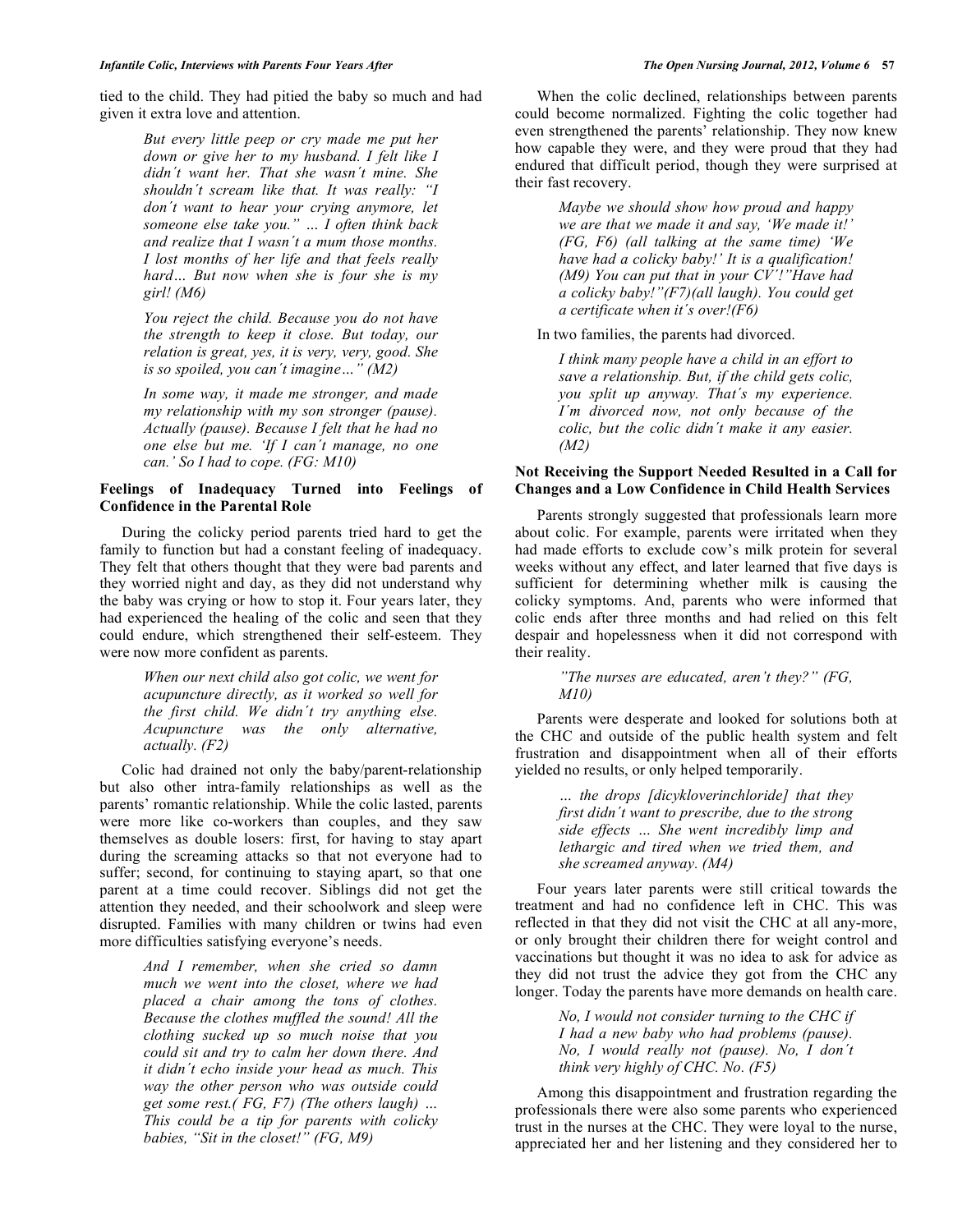tied to the child. They had pitied the baby so much and had given it extra love and attention.

> *But every little peep or cry made me put her down or give her to my husband. I felt like I didn´t want her. That she wasn´t mine. She shouldn´t scream like that. It was really: "I don´t want to hear your crying anymore, let someone else take you." … I often think back and realize that I wasn´t a mum those months. I lost months of her life and that feels really hard… But now when she is four she is my girl! (M6)*

> *You reject the child. Because you do not have the strength to keep it close. But today, our relation is great, yes, it is very, very, good. She is so spoiled, you can´t imagine…" (M2)*

> *In some way, it made me stronger, and made my relationship with my son stronger (pause). Actually (pause). Because I felt that he had no one else but me. 'If I can´t manage, no one can.' So I had to cope. (FG: M10)*

## **Feelings of Inadequacy Turned into Feelings of Confidence in the Parental Role**

 During the colicky period parents tried hard to get the family to function but had a constant feeling of inadequacy. They felt that others thought that they were bad parents and they worried night and day, as they did not understand why the baby was crying or how to stop it. Four years later, they had experienced the healing of the colic and seen that they could endure, which strengthened their self-esteem. They were now more confident as parents.

> *When our next child also got colic, we went for acupuncture directly, as it worked so well for the first child. We didn´t try anything else. Acupuncture was the only alternative, actually. (F2)*

 Colic had drained not only the baby/parent-relationship but also other intra-family relationships as well as the parents' romantic relationship. While the colic lasted, parents were more like co-workers than couples, and they saw themselves as double losers: first, for having to stay apart during the screaming attacks so that not everyone had to suffer; second, for continuing to staying apart, so that one parent at a time could recover. Siblings did not get the attention they needed, and their schoolwork and sleep were disrupted. Families with many children or twins had even more difficulties satisfying everyone's needs.

> *And I remember, when she cried so damn much we went into the closet, where we had placed a chair among the tons of clothes. Because the clothes muffled the sound! All the clothing sucked up so much noise that you could sit and try to calm her down there. And it didn´t echo inside your head as much. This way the other person who was outside could get some rest.( FG, F7) (The others laugh) … This could be a tip for parents with colicky babies, "Sit in the closet!" (FG, M9)*

 When the colic declined, relationships between parents could become normalized. Fighting the colic together had even strengthened the parents' relationship. They now knew how capable they were, and they were proud that they had endured that difficult period, though they were surprised at their fast recovery.

> *Maybe we should show how proud and happy we are that we made it and say, 'We made it!' (FG, F6) (all talking at the same time) 'We have had a colicky baby!' It is a qualification! (M9) You can put that in your CV´!"Have had a colicky baby!"(F7)(all laugh). You could get a certificate when it´s over!(F6)*

In two families, the parents had divorced.

*I think many people have a child in an effort to save a relationship. But, if the child gets colic, you split up anyway. That´s my experience. I´m divorced now, not only because of the colic, but the colic didn´t make it any easier. (M2)* 

## **Not Receiving the Support Needed Resulted in a Call for Changes and a Low Confidence in Child Health Services**

 Parents strongly suggested that professionals learn more about colic. For example, parents were irritated when they had made efforts to exclude cow's milk protein for several weeks without any effect, and later learned that five days is sufficient for determining whether milk is causing the colicky symptoms. And, parents who were informed that colic ends after three months and had relied on this felt despair and hopelessness when it did not correspond with their reality.

> *"The nurses are educated, aren't they?" (FG, M10)*

 Parents were desperate and looked for solutions both at the CHC and outside of the public health system and felt frustration and disappointment when all of their efforts yielded no results, or only helped temporarily.

> *… the drops [dicykloverinchloride] that they first didn´t want to prescribe, due to the strong side effects … She went incredibly limp and lethargic and tired when we tried them, and she screamed anyway. (M4)*

 Four years later parents were still critical towards the treatment and had no confidence left in CHC. This was reflected in that they did not visit the CHC at all any-more, or only brought their children there for weight control and vaccinations but thought it was no idea to ask for advice as they did not trust the advice they got from the CHC any longer. Today the parents have more demands on health care.

> *No, I would not consider turning to the CHC if I had a new baby who had problems (pause). No, I would really not (pause). No, I don´t think very highly of CHC. No. (F5)*

 Among this disappointment and frustration regarding the professionals there were also some parents who experienced trust in the nurses at the CHC. They were loyal to the nurse, appreciated her and her listening and they considered her to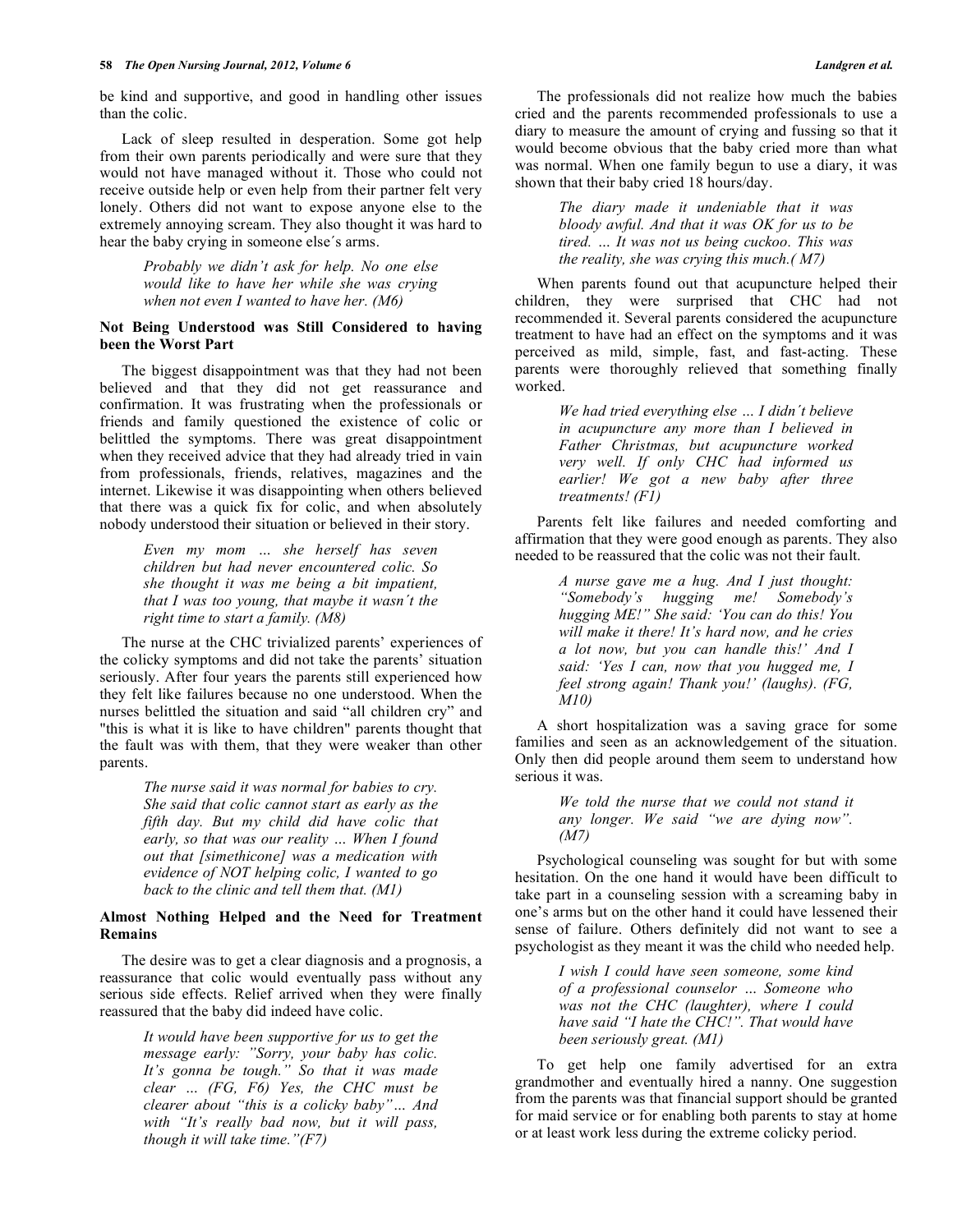be kind and supportive, and good in handling other issues than the colic.

 Lack of sleep resulted in desperation. Some got help from their own parents periodically and were sure that they would not have managed without it. Those who could not receive outside help or even help from their partner felt very lonely. Others did not want to expose anyone else to the extremely annoying scream. They also thought it was hard to hear the baby crying in someone else´s arms.

> *Probably we didn't ask for help. No one else would like to have her while she was crying when not even I wanted to have her. (M6)*

## **Not Being Understood was Still Considered to having been the Worst Part**

 The biggest disappointment was that they had not been believed and that they did not get reassurance and confirmation. It was frustrating when the professionals or friends and family questioned the existence of colic or belittled the symptoms. There was great disappointment when they received advice that they had already tried in vain from professionals, friends, relatives, magazines and the internet. Likewise it was disappointing when others believed that there was a quick fix for colic, and when absolutely nobody understood their situation or believed in their story.

> *Even my mom … she herself has seven children but had never encountered colic. So she thought it was me being a bit impatient, that I was too young, that maybe it wasn´t the right time to start a family. (M8)*

 The nurse at the CHC trivialized parents' experiences of the colicky symptoms and did not take the parents' situation seriously. After four years the parents still experienced how they felt like failures because no one understood. When the nurses belittled the situation and said "all children cry" and "this is what it is like to have children" parents thought that the fault was with them, that they were weaker than other parents.

> *The nurse said it was normal for babies to cry. She said that colic cannot start as early as the fifth day. But my child did have colic that early, so that was our reality … When I found out that [simethicone] was a medication with evidence of NOT helping colic, I wanted to go back to the clinic and tell them that. (M1)*

## **Almost Nothing Helped and the Need for Treatment Remains**

 The desire was to get a clear diagnosis and a prognosis, a reassurance that colic would eventually pass without any serious side effects. Relief arrived when they were finally reassured that the baby did indeed have colic.

> *It would have been supportive for us to get the message early: "Sorry, your baby has colic. It's gonna be tough." So that it was made clear … (FG, F6) Yes, the CHC must be clearer about "this is a colicky baby"… And with "It's really bad now, but it will pass, though it will take time."(F7)*

 The professionals did not realize how much the babies cried and the parents recommended professionals to use a diary to measure the amount of crying and fussing so that it would become obvious that the baby cried more than what was normal. When one family begun to use a diary, it was shown that their baby cried 18 hours/day.

> *The diary made it undeniable that it was bloody awful. And that it was OK for us to be tired. … It was not us being cuckoo. This was the reality, she was crying this much.( M7)*

 When parents found out that acupuncture helped their children, they were surprised that CHC had not recommended it. Several parents considered the acupuncture treatment to have had an effect on the symptoms and it was perceived as mild, simple, fast, and fast-acting. These parents were thoroughly relieved that something finally worked.

> *We had tried everything else … I didn´t believe in acupuncture any more than I believed in Father Christmas, but acupuncture worked very well. If only CHC had informed us earlier! We got a new baby after three treatments! (F1)*

 Parents felt like failures and needed comforting and affirmation that they were good enough as parents. They also needed to be reassured that the colic was not their fault.

> *A nurse gave me a hug. And I just thought: "Somebody's hugging me! Somebody's hugging ME!" She said: 'You can do this! You will make it there! It's hard now, and he cries a lot now, but you can handle this!' And I said: 'Yes I can, now that you hugged me, I feel strong again! Thank you!' (laughs). (FG, M10)*

 A short hospitalization was a saving grace for some families and seen as an acknowledgement of the situation. Only then did people around them seem to understand how serious it was.

> *We told the nurse that we could not stand it any longer. We said "we are dying now". (M7)*

 Psychological counseling was sought for but with some hesitation. On the one hand it would have been difficult to take part in a counseling session with a screaming baby in one's arms but on the other hand it could have lessened their sense of failure. Others definitely did not want to see a psychologist as they meant it was the child who needed help.

> *I wish I could have seen someone, some kind of a professional counselor … Someone who was not the CHC (laughter), where I could have said "I hate the CHC!". That would have been seriously great. (M1)*

 To get help one family advertised for an extra grandmother and eventually hired a nanny. One suggestion from the parents was that financial support should be granted for maid service or for enabling both parents to stay at home or at least work less during the extreme colicky period.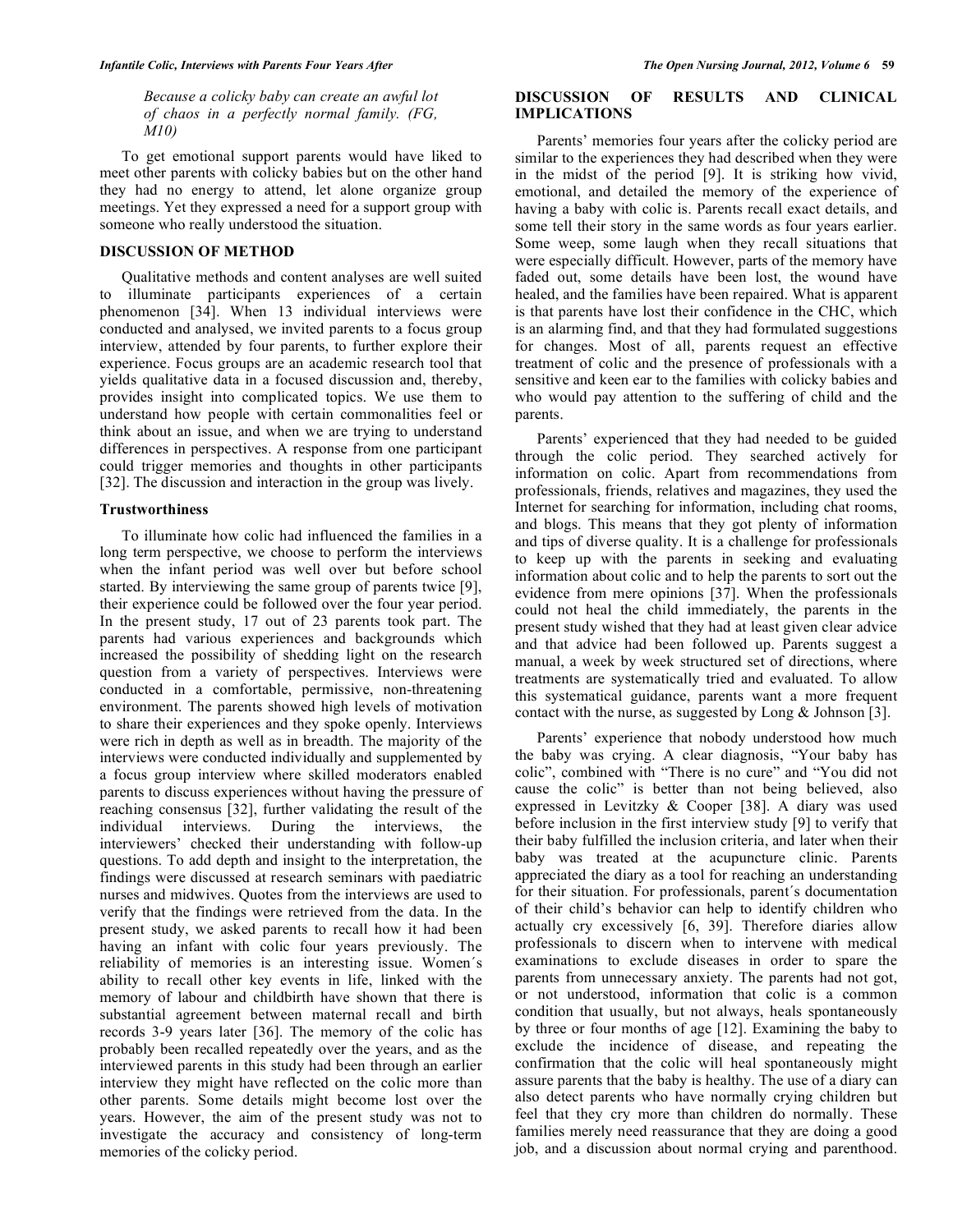*Because a colicky baby can create an awful lot of chaos in a perfectly normal family. (FG, M10)* 

 To get emotional support parents would have liked to meet other parents with colicky babies but on the other hand they had no energy to attend, let alone organize group meetings. Yet they expressed a need for a support group with someone who really understood the situation.

## **DISCUSSION OF METHOD**

 Qualitative methods and content analyses are well suited to illuminate participants experiences of a certain phenomenon [34]. When 13 individual interviews were conducted and analysed, we invited parents to a focus group interview, attended by four parents, to further explore their experience. Focus groups are an academic research tool that yields qualitative data in a focused discussion and, thereby, provides insight into complicated topics. We use them to understand how people with certain commonalities feel or think about an issue, and when we are trying to understand differences in perspectives. A response from one participant could trigger memories and thoughts in other participants [32]. The discussion and interaction in the group was lively.

## **Trustworthiness**

 To illuminate how colic had influenced the families in a long term perspective, we choose to perform the interviews when the infant period was well over but before school started. By interviewing the same group of parents twice [9], their experience could be followed over the four year period. In the present study, 17 out of 23 parents took part. The parents had various experiences and backgrounds which increased the possibility of shedding light on the research question from a variety of perspectives. Interviews were conducted in a comfortable, permissive, non-threatening environment. The parents showed high levels of motivation to share their experiences and they spoke openly. Interviews were rich in depth as well as in breadth. The majority of the interviews were conducted individually and supplemented by a focus group interview where skilled moderators enabled parents to discuss experiences without having the pressure of reaching consensus [32], further validating the result of the individual interviews. During the interviews, the interviewers' checked their understanding with follow-up questions. To add depth and insight to the interpretation, the findings were discussed at research seminars with paediatric nurses and midwives. Quotes from the interviews are used to verify that the findings were retrieved from the data. In the present study, we asked parents to recall how it had been having an infant with colic four years previously. The reliability of memories is an interesting issue. Women´s ability to recall other key events in life, linked with the memory of labour and childbirth have shown that there is substantial agreement between maternal recall and birth records 3-9 years later [36]. The memory of the colic has probably been recalled repeatedly over the years, and as the interviewed parents in this study had been through an earlier interview they might have reflected on the colic more than other parents. Some details might become lost over the years. However, the aim of the present study was not to investigate the accuracy and consistency of long-term memories of the colicky period.

## **DISCUSSION OF RESULTS AND CLINICAL IMPLICATIONS**

 Parents' memories four years after the colicky period are similar to the experiences they had described when they were in the midst of the period [9]. It is striking how vivid, emotional, and detailed the memory of the experience of having a baby with colic is. Parents recall exact details, and some tell their story in the same words as four years earlier. Some weep, some laugh when they recall situations that were especially difficult. However, parts of the memory have faded out, some details have been lost, the wound have healed, and the families have been repaired. What is apparent is that parents have lost their confidence in the CHC, which is an alarming find, and that they had formulated suggestions for changes. Most of all, parents request an effective treatment of colic and the presence of professionals with a sensitive and keen ear to the families with colicky babies and who would pay attention to the suffering of child and the parents.

 Parents' experienced that they had needed to be guided through the colic period. They searched actively for information on colic. Apart from recommendations from professionals, friends, relatives and magazines, they used the Internet for searching for information, including chat rooms, and blogs. This means that they got plenty of information and tips of diverse quality. It is a challenge for professionals to keep up with the parents in seeking and evaluating information about colic and to help the parents to sort out the evidence from mere opinions [37]. When the professionals could not heal the child immediately, the parents in the present study wished that they had at least given clear advice and that advice had been followed up. Parents suggest a manual, a week by week structured set of directions, where treatments are systematically tried and evaluated. To allow this systematical guidance, parents want a more frequent contact with the nurse, as suggested by Long & Johnson [3].

 Parents' experience that nobody understood how much the baby was crying. A clear diagnosis, "Your baby has colic", combined with "There is no cure" and "You did not cause the colic" is better than not being believed, also expressed in Levitzky & Cooper [38]. A diary was used before inclusion in the first interview study [9] to verify that their baby fulfilled the inclusion criteria, and later when their baby was treated at the acupuncture clinic. Parents appreciated the diary as a tool for reaching an understanding for their situation. For professionals, parent´s documentation of their child's behavior can help to identify children who actually cry excessively [6, 39]. Therefore diaries allow professionals to discern when to intervene with medical examinations to exclude diseases in order to spare the parents from unnecessary anxiety. The parents had not got, or not understood, information that colic is a common condition that usually, but not always, heals spontaneously by three or four months of age [12]. Examining the baby to exclude the incidence of disease, and repeating the confirmation that the colic will heal spontaneously might assure parents that the baby is healthy. The use of a diary can also detect parents who have normally crying children but feel that they cry more than children do normally. These families merely need reassurance that they are doing a good job, and a discussion about normal crying and parenthood.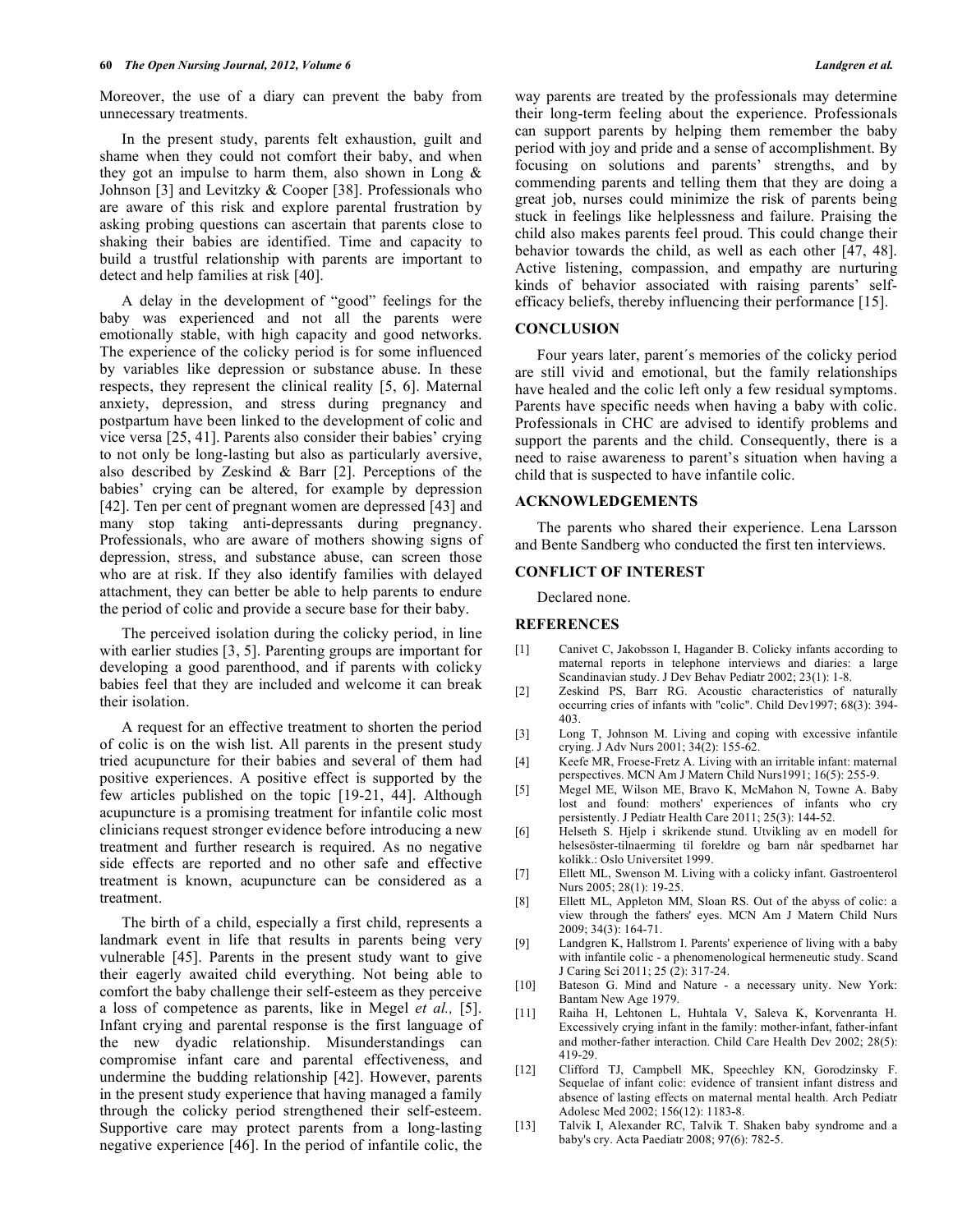Moreover, the use of a diary can prevent the baby from unnecessary treatments.

 In the present study, parents felt exhaustion, guilt and shame when they could not comfort their baby, and when they got an impulse to harm them, also shown in Long  $\&$ Johnson [3] and Levitzky & Cooper [38]. Professionals who are aware of this risk and explore parental frustration by asking probing questions can ascertain that parents close to shaking their babies are identified. Time and capacity to build a trustful relationship with parents are important to detect and help families at risk [40].

 A delay in the development of "good" feelings for the baby was experienced and not all the parents were emotionally stable, with high capacity and good networks. The experience of the colicky period is for some influenced by variables like depression or substance abuse. In these respects, they represent the clinical reality [5, 6]. Maternal anxiety, depression, and stress during pregnancy and postpartum have been linked to the development of colic and vice versa [25, 41]. Parents also consider their babies' crying to not only be long-lasting but also as particularly aversive, also described by Zeskind & Barr [2]. Perceptions of the babies' crying can be altered, for example by depression [42]. Ten per cent of pregnant women are depressed [43] and many stop taking anti-depressants during pregnancy. Professionals, who are aware of mothers showing signs of depression, stress, and substance abuse, can screen those who are at risk. If they also identify families with delayed attachment, they can better be able to help parents to endure the period of colic and provide a secure base for their baby.

 The perceived isolation during the colicky period, in line with earlier studies [3, 5]. Parenting groups are important for developing a good parenthood, and if parents with colicky babies feel that they are included and welcome it can break their isolation.

 A request for an effective treatment to shorten the period of colic is on the wish list. All parents in the present study tried acupuncture for their babies and several of them had positive experiences. A positive effect is supported by the few articles published on the topic [19-21, 44]. Although acupuncture is a promising treatment for infantile colic most clinicians request stronger evidence before introducing a new treatment and further research is required. As no negative side effects are reported and no other safe and effective treatment is known, acupuncture can be considered as a treatment.

 The birth of a child, especially a first child, represents a landmark event in life that results in parents being very vulnerable [45]. Parents in the present study want to give their eagerly awaited child everything. Not being able to comfort the baby challenge their self-esteem as they perceive a loss of competence as parents, like in Megel *et al.,* [5]. Infant crying and parental response is the first language of the new dyadic relationship. Misunderstandings can compromise infant care and parental effectiveness, and undermine the budding relationship [42]. However, parents in the present study experience that having managed a family through the colicky period strengthened their self-esteem. Supportive care may protect parents from a long-lasting negative experience [46]. In the period of infantile colic, the

way parents are treated by the professionals may determine their long-term feeling about the experience. Professionals can support parents by helping them remember the baby period with joy and pride and a sense of accomplishment. By focusing on solutions and parents' strengths, and by commending parents and telling them that they are doing a great job, nurses could minimize the risk of parents being stuck in feelings like helplessness and failure. Praising the child also makes parents feel proud. This could change their behavior towards the child, as well as each other [47, 48]. Active listening, compassion, and empathy are nurturing kinds of behavior associated with raising parents' selfefficacy beliefs, thereby influencing their performance [15].

#### **CONCLUSION**

 Four years later, parent´s memories of the colicky period are still vivid and emotional, but the family relationships have healed and the colic left only a few residual symptoms. Parents have specific needs when having a baby with colic. Professionals in CHC are advised to identify problems and support the parents and the child. Consequently, there is a need to raise awareness to parent's situation when having a child that is suspected to have infantile colic.

#### **ACKNOWLEDGEMENTS**

 The parents who shared their experience. Lena Larsson and Bente Sandberg who conducted the first ten interviews.

## **CONFLICT OF INTEREST**

Declared none.

## **REFERENCES**

- [1] Canivet C, Jakobsson I, Hagander B. Colicky infants according to maternal reports in telephone interviews and diaries: a large Scandinavian study. J Dev Behav Pediatr 2002; 23(1): 1-8.
- [2] Zeskind PS, Barr RG. Acoustic characteristics of naturally occurring cries of infants with "colic". Child Dev1997; 68(3): 394- 403.
- [3] Long T, Johnson M. Living and coping with excessive infantile crying. J Adv Nurs 2001; 34(2): 155-62.
- [4] Keefe MR, Froese-Fretz A. Living with an irritable infant: maternal perspectives. MCN Am J Matern Child Nurs1991; 16(5): 255-9.
- [5] Megel ME, Wilson ME, Bravo K, McMahon N, Towne A. Baby lost and found: mothers' experiences of infants who cry persistently. J Pediatr Health Care 2011; 25(3): 144-52.
- [6] Helseth S. Hjelp i skrikende stund. Utvikling av en modell for helsesöster-tilnaerming til foreldre og barn når spedbarnet har kolikk.: Oslo Universitet 1999.
- [7] Ellett ML, Swenson M. Living with a colicky infant. Gastroenterol Nurs 2005; 28(1): 19-25.
- [8] Ellett ML, Appleton MM, Sloan RS. Out of the abyss of colic: a view through the fathers' eyes. MCN Am J Matern Child Nurs 2009; 34(3): 164-71.
- [9] Landgren K, Hallstrom I. Parents' experience of living with a baby with infantile colic - a phenomenological hermeneutic study. Scand J Caring Sci 2011; 25 (2): 317-24.
- [10] Bateson G. Mind and Nature a necessary unity. New York: Bantam New Age 1979.
- [11] Raiha H, Lehtonen L, Huhtala V, Saleva K, Korvenranta H. Excessively crying infant in the family: mother-infant, father-infant and mother-father interaction. Child Care Health Dev 2002; 28(5): 419-29.
- [12] Clifford TJ, Campbell MK, Speechley KN, Gorodzinsky F. Sequelae of infant colic: evidence of transient infant distress and absence of lasting effects on maternal mental health. Arch Pediatr Adolesc Med 2002; 156(12): 1183-8.
- [13] Talvik I, Alexander RC, Talvik T. Shaken baby syndrome and a baby's cry. Acta Paediatr 2008; 97(6): 782-5.